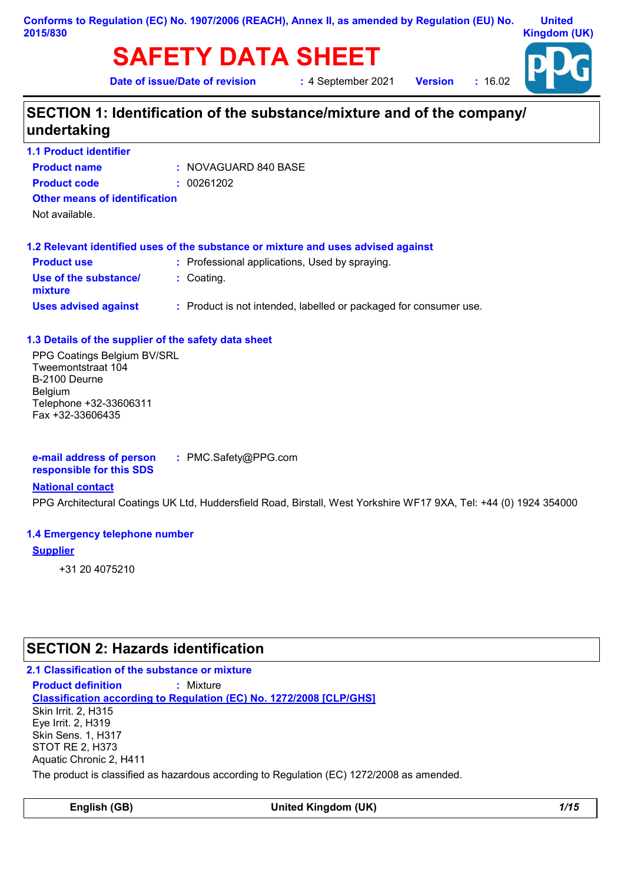# **SAFETY DATA SHEET**

**United Kingdom (UK)**

**Date of issue/Date of revision :** 4 September 2021

**Version :** 16.02



# **SECTION 1: Identification of the substance/mixture and of the company/ undertaking**

**1.1 Product identifier**

| <b>Product name</b>                  |  | : NOVAGUARD 840 BASE |
|--------------------------------------|--|----------------------|
| <b>Product code</b>                  |  | : 00261202           |
| <b>Other means of identification</b> |  |                      |

Not available.

|                                  | 1.2 Relevant identified uses of the substance or mixture and uses advised against |
|----------------------------------|-----------------------------------------------------------------------------------|
| <b>Product use</b>               | : Professional applications, Used by spraying.                                    |
| Use of the substance/<br>mixture | : Coating.                                                                        |
| <b>Uses advised against</b>      | : Product is not intended, labelled or packaged for consumer use.                 |

#### **1.3 Details of the supplier of the safety data sheet**

PPG Coatings Belgium BV/SRL Tweemontstraat 104 B-2100 Deurne **Belgium** Telephone +32-33606311 Fax +32-33606435

**e-mail address of person responsible for this SDS :** PMC.Safety@PPG.com

#### **National contact**

PPG Architectural Coatings UK Ltd, Huddersfield Road, Birstall, West Yorkshire WF17 9XA, Tel: +44 (0) 1924 354000

#### **1.4 Emergency telephone number**

#### **Supplier**

+31 20 4075210

# **SECTION 2: Hazards identification**

#### **2.1 Classification of the substance or mixture**

**Classification according to Regulation (EC) No. 1272/2008 [CLP/GHS] Product definition :** Mixture Skin Irrit. 2, H315 Eye Irrit. 2, H319 Skin Sens. 1, H317 STOT RE 2, H373 Aquatic Chronic 2, H411

The product is classified as hazardous according to Regulation (EC) 1272/2008 as amended.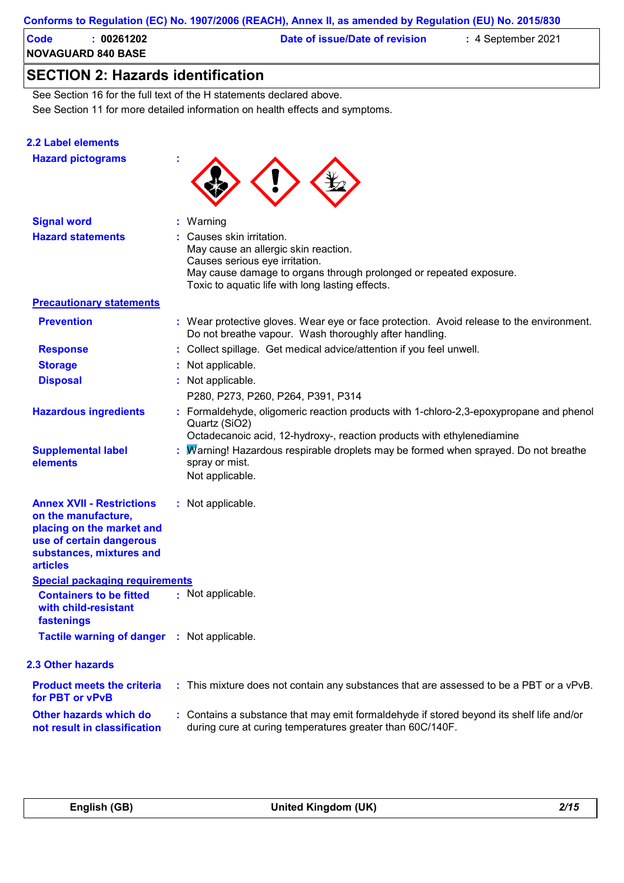#### **Conforms to Regulation (EC) No. 1907/2006 (REACH), Annex II, as amended by Regulation (EU) No. 2015/830**

| Code | 00261202                  | Date of issue/Date of revision | $\div$ 4 September 2021 |  |
|------|---------------------------|--------------------------------|-------------------------|--|
|      | <b>NOVAGUARD 840 BASE</b> |                                |                         |  |

# **SECTION 2: Hazards identification**

See Section 11 for more detailed information on health effects and symptoms. See Section 16 for the full text of the H statements declared above.

#### **2.2 Label elements**

**Hazard pictograms :**



| <b>Signal word</b>                                                                                                                                              | : Warning                                                                                                                                                                                                                     |
|-----------------------------------------------------------------------------------------------------------------------------------------------------------------|-------------------------------------------------------------------------------------------------------------------------------------------------------------------------------------------------------------------------------|
| <b>Hazard statements</b>                                                                                                                                        | : Causes skin irritation.<br>May cause an allergic skin reaction.<br>Causes serious eye irritation.<br>May cause damage to organs through prolonged or repeated exposure.<br>Toxic to aquatic life with long lasting effects. |
| <b>Precautionary statements</b>                                                                                                                                 |                                                                                                                                                                                                                               |
| <b>Prevention</b>                                                                                                                                               | : Wear protective gloves. Wear eye or face protection. Avoid release to the environment.<br>Do not breathe vapour. Wash thoroughly after handling.                                                                            |
| <b>Response</b>                                                                                                                                                 | : Collect spillage. Get medical advice/attention if you feel unwell.                                                                                                                                                          |
| <b>Storage</b>                                                                                                                                                  | : Not applicable.                                                                                                                                                                                                             |
| <b>Disposal</b>                                                                                                                                                 | : Not applicable.<br>P280, P273, P260, P264, P391, P314                                                                                                                                                                       |
| <b>Hazardous ingredients</b>                                                                                                                                    | : Formaldehyde, oligomeric reaction products with 1-chloro-2,3-epoxypropane and phenol<br>Quartz (SiO2)<br>Octadecanoic acid, 12-hydroxy-, reaction products with ethylenediamine                                             |
| <b>Supplemental label</b><br>elements                                                                                                                           | : Marning! Hazardous respirable droplets may be formed when sprayed. Do not breathe<br>spray or mist.<br>Not applicable.                                                                                                      |
| <b>Annex XVII - Restrictions</b><br>on the manufacture,<br>placing on the market and<br>use of certain dangerous<br>substances, mixtures and<br><b>articles</b> | : Not applicable.                                                                                                                                                                                                             |
| <b>Special packaging requirements</b>                                                                                                                           |                                                                                                                                                                                                                               |
| <b>Containers to be fitted</b><br>with child-resistant<br>fastenings                                                                                            | : Not applicable.                                                                                                                                                                                                             |
| <b>Tactile warning of danger : Not applicable.</b>                                                                                                              |                                                                                                                                                                                                                               |
| <b>2.3 Other hazards</b>                                                                                                                                        |                                                                                                                                                                                                                               |
| <b>Product meets the criteria</b><br>for PBT or vPvB                                                                                                            | : This mixture does not contain any substances that are assessed to be a PBT or a vPvB.                                                                                                                                       |
| Other hazards which do<br>not result in classification                                                                                                          | : Contains a substance that may emit formaldehyde if stored beyond its shelf life and/or<br>during cure at curing temperatures greater than 60C/140F.                                                                         |
|                                                                                                                                                                 |                                                                                                                                                                                                                               |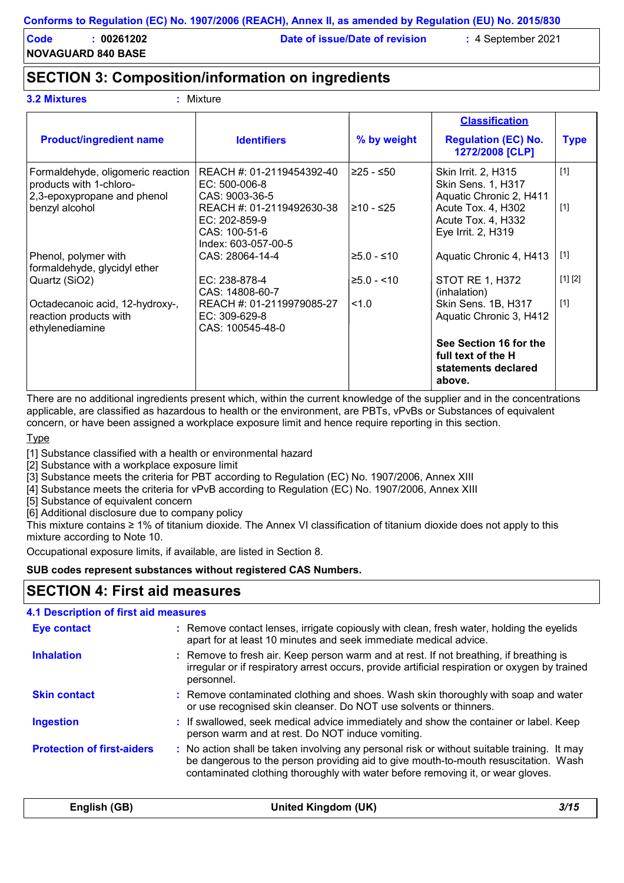**NOVAGUARD 840 BASE**

**Code : 00261202 Date of issue/Date of revision :** 4 September 2021

## **SECTION 3: Composition/information on ingredients**

| <b>3.2 Mixtures</b> | $:$ Mixture |
|---------------------|-------------|
|                     |             |

| <b>Product/ingredient name</b>                                                              | <b>Identifiers</b>                                                                 | % by weight   | <b>Classification</b><br><b>Regulation (EC) No.</b><br>1272/2008 [CLP]        | <b>Type</b> |
|---------------------------------------------------------------------------------------------|------------------------------------------------------------------------------------|---------------|-------------------------------------------------------------------------------|-------------|
| Formaldehyde, oligomeric reaction<br>products with 1-chloro-<br>2,3-epoxypropane and phenol | REACH #: 01-2119454392-40<br>$EC: 500-006-8$<br>CAS: 9003-36-5                     | l≥25 - ≤50    | Skin Irrit. 2, H315<br><b>Skin Sens. 1, H317</b><br>Aquatic Chronic 2, H411   | $[1]$       |
| benzyl alcohol                                                                              | REACH #: 01-2119492630-38<br>EC: 202-859-9<br>CAS: 100-51-6<br>Index: 603-057-00-5 | l≥10 - ≤25    | Acute Tox. 4, H302<br>Acute Tox. 4, H332<br>Eye Irrit. 2, H319                | $[1]$       |
| Phenol, polymer with<br>formaldehyde, glycidyl ether                                        | CAS: 28064-14-4                                                                    | $≥5.0 - ≤10$  | Aquatic Chronic 4, H413                                                       | $[1]$       |
| Quartz (SiO2)                                                                               | EC: 238-878-4<br>CAS: 14808-60-7                                                   | $≥5.0 - < 10$ | <b>STOT RE 1, H372</b><br>(inhalation)                                        | [1] [2]     |
| Octadecanoic acid, 12-hydroxy-,<br>reaction products with<br>ethylenediamine                | REACH #: 01-2119979085-27<br>EC: 309-629-8<br>CAS: 100545-48-0                     | 1.0           | Skin Sens. 1B, H317<br>Aquatic Chronic 3, H412                                | $[1]$       |
|                                                                                             |                                                                                    |               | See Section 16 for the<br>full text of the H<br>statements declared<br>above. |             |

There are no additional ingredients present which, within the current knowledge of the supplier and in the concentrations applicable, are classified as hazardous to health or the environment, are PBTs, vPvBs or Substances of equivalent concern, or have been assigned a workplace exposure limit and hence require reporting in this section.

#### Type

[1] Substance classified with a health or environmental hazard

[2] Substance with a workplace exposure limit

[3] Substance meets the criteria for PBT according to Regulation (EC) No. 1907/2006, Annex XIII

[4] Substance meets the criteria for vPvB according to Regulation (EC) No. 1907/2006, Annex XIII

[5] Substance of equivalent concern

[6] Additional disclosure due to company policy

This mixture contains ≥ 1% of titanium dioxide. The Annex VI classification of titanium dioxide does not apply to this mixture according to Note 10.

Occupational exposure limits, if available, are listed in Section 8.

#### **SUB codes represent substances without registered CAS Numbers.**

### **SECTION 4: First aid measures**

#### **4.1 Description of first aid measures**

| <b>Eye contact</b>                | : Remove contact lenses, irrigate copiously with clean, fresh water, holding the eyelids<br>apart for at least 10 minutes and seek immediate medical advice.                                                                                                          |
|-----------------------------------|-----------------------------------------------------------------------------------------------------------------------------------------------------------------------------------------------------------------------------------------------------------------------|
| <b>Inhalation</b>                 | : Remove to fresh air. Keep person warm and at rest. If not breathing, if breathing is<br>irregular or if respiratory arrest occurs, provide artificial respiration or oxygen by trained<br>personnel.                                                                |
| <b>Skin contact</b>               | : Remove contaminated clothing and shoes. Wash skin thoroughly with soap and water<br>or use recognised skin cleanser. Do NOT use solvents or thinners.                                                                                                               |
| <b>Ingestion</b>                  | : If swallowed, seek medical advice immediately and show the container or label. Keep<br>person warm and at rest. Do NOT induce vomiting.                                                                                                                             |
| <b>Protection of first-aiders</b> | : No action shall be taken involving any personal risk or without suitable training. It may<br>be dangerous to the person providing aid to give mouth-to-mouth resuscitation. Wash<br>contaminated clothing thoroughly with water before removing it, or wear gloves. |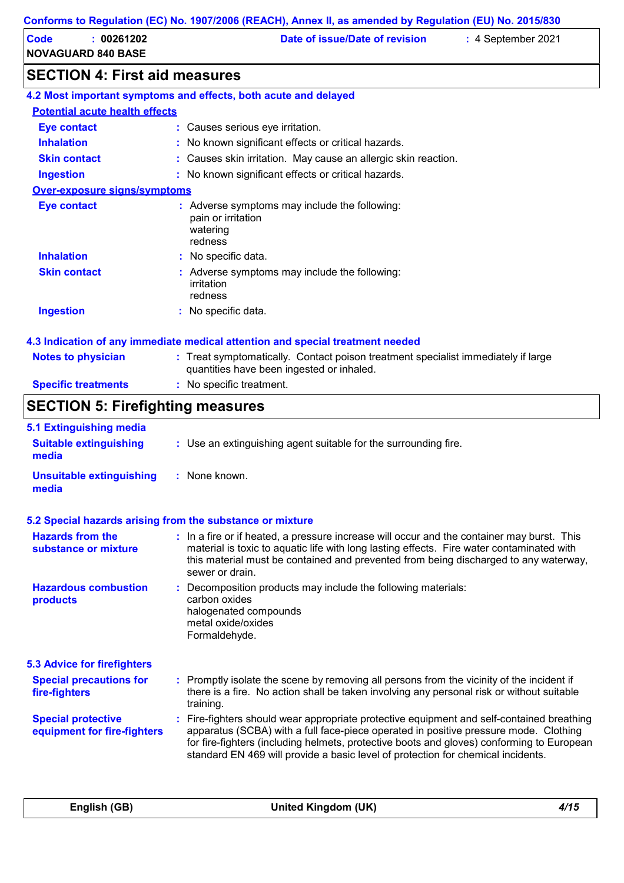| Code<br>00261202<br><b>NOVAGUARD 840 BASE</b> | Date of issue/Date of revision | $\therefore$ 4 September 2021 |
|-----------------------------------------------|--------------------------------|-------------------------------|
| <b>SECTION 4: First aid measures</b>          |                                |                               |

| 4.2 Most important symptoms and effects, both acute and delayed                |                                                                                                                                |  |  |
|--------------------------------------------------------------------------------|--------------------------------------------------------------------------------------------------------------------------------|--|--|
| <b>Potential acute health effects</b>                                          |                                                                                                                                |  |  |
| Eye contact                                                                    | : Causes serious eye irritation.                                                                                               |  |  |
| <b>Inhalation</b>                                                              | : No known significant effects or critical hazards.                                                                            |  |  |
| <b>Skin contact</b>                                                            | : Causes skin irritation. May cause an allergic skin reaction.                                                                 |  |  |
| <b>Ingestion</b>                                                               | : No known significant effects or critical hazards.                                                                            |  |  |
| <b>Over-exposure signs/symptoms</b>                                            |                                                                                                                                |  |  |
| <b>Eye contact</b>                                                             | : Adverse symptoms may include the following:<br>pain or irritation<br>watering<br>redness                                     |  |  |
| <b>Inhalation</b>                                                              | : No specific data.                                                                                                            |  |  |
| <b>Skin contact</b>                                                            | : Adverse symptoms may include the following:<br>irritation<br>redness                                                         |  |  |
| <b>Ingestion</b>                                                               | : No specific data.                                                                                                            |  |  |
| 4.3 Indication of any immediate medical attention and special treatment needed |                                                                                                                                |  |  |
| <b>Notes to physician</b>                                                      | : Treat symptomatically. Contact poison treatment specialist immediately if large<br>quantities have been ingested or inhaled. |  |  |
| <b>Specific treatments</b>                                                     | : No specific treatment.                                                                                                       |  |  |

# **SECTION 5: Firefighting measures**

| 5.1 Extinguishing media                                   |                                                                                                                                                                                                                                                                                                                                                                  |
|-----------------------------------------------------------|------------------------------------------------------------------------------------------------------------------------------------------------------------------------------------------------------------------------------------------------------------------------------------------------------------------------------------------------------------------|
| <b>Suitable extinguishing</b><br>media                    | : Use an extinguishing agent suitable for the surrounding fire.                                                                                                                                                                                                                                                                                                  |
| <b>Unsuitable extinguishing</b><br>media                  | $:$ None known.                                                                                                                                                                                                                                                                                                                                                  |
| 5.2 Special hazards arising from the substance or mixture |                                                                                                                                                                                                                                                                                                                                                                  |
| <b>Hazards from the</b><br>substance or mixture           | : In a fire or if heated, a pressure increase will occur and the container may burst. This<br>material is toxic to aquatic life with long lasting effects. Fire water contaminated with<br>this material must be contained and prevented from being discharged to any waterway,<br>sewer or drain.                                                               |
| <b>Hazardous combustion</b><br>products                   | Decomposition products may include the following materials:<br>carbon oxides<br>halogenated compounds<br>metal oxide/oxides<br>Formaldehyde.                                                                                                                                                                                                                     |
| <b>5.3 Advice for firefighters</b>                        |                                                                                                                                                                                                                                                                                                                                                                  |
| <b>Special precautions for</b><br>fire-fighters           | : Promptly isolate the scene by removing all persons from the vicinity of the incident if<br>there is a fire. No action shall be taken involving any personal risk or without suitable<br>training.                                                                                                                                                              |
| <b>Special protective</b><br>equipment for fire-fighters  | Fire-fighters should wear appropriate protective equipment and self-contained breathing<br>apparatus (SCBA) with a full face-piece operated in positive pressure mode. Clothing<br>for fire-fighters (including helmets, protective boots and gloves) conforming to European<br>standard EN 469 will provide a basic level of protection for chemical incidents. |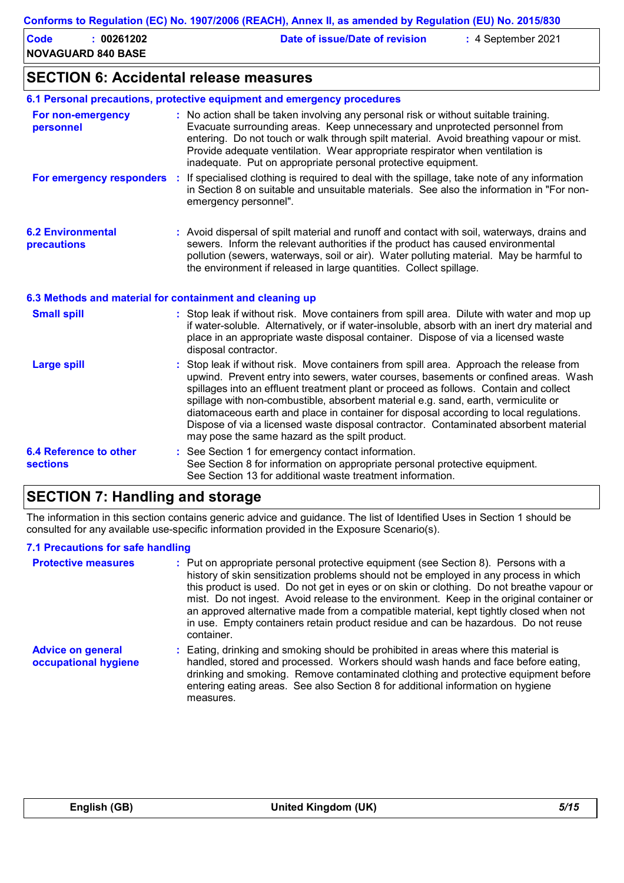| Code | 00261202                  | Date of issue/Date of revision | $\div$ 4 September 2021 |  |
|------|---------------------------|--------------------------------|-------------------------|--|
|      | <b>NOVAGUARD 840 BASE</b> |                                |                         |  |

### **SECTION 6: Accidental release measures**

|                                                          | 6.1 Personal precautions, protective equipment and emergency procedures                                                                                                                                                                                                                                                                                                                                                                                                                                                                                                                         |
|----------------------------------------------------------|-------------------------------------------------------------------------------------------------------------------------------------------------------------------------------------------------------------------------------------------------------------------------------------------------------------------------------------------------------------------------------------------------------------------------------------------------------------------------------------------------------------------------------------------------------------------------------------------------|
| For non-emergency<br>personnel                           | : No action shall be taken involving any personal risk or without suitable training.<br>Evacuate surrounding areas. Keep unnecessary and unprotected personnel from<br>entering. Do not touch or walk through spilt material. Avoid breathing vapour or mist.<br>Provide adequate ventilation. Wear appropriate respirator when ventilation is<br>inadequate. Put on appropriate personal protective equipment.                                                                                                                                                                                 |
|                                                          | For emergency responders : If specialised clothing is required to deal with the spillage, take note of any information<br>in Section 8 on suitable and unsuitable materials. See also the information in "For non-<br>emergency personnel".                                                                                                                                                                                                                                                                                                                                                     |
| <b>6.2 Environmental</b><br>precautions                  | : Avoid dispersal of spilt material and runoff and contact with soil, waterways, drains and<br>sewers. Inform the relevant authorities if the product has caused environmental<br>pollution (sewers, waterways, soil or air). Water polluting material. May be harmful to<br>the environment if released in large quantities. Collect spillage.                                                                                                                                                                                                                                                 |
| 6.3 Methods and material for containment and cleaning up |                                                                                                                                                                                                                                                                                                                                                                                                                                                                                                                                                                                                 |
| <b>Small spill</b>                                       | : Stop leak if without risk. Move containers from spill area. Dilute with water and mop up<br>if water-soluble. Alternatively, or if water-insoluble, absorb with an inert dry material and<br>place in an appropriate waste disposal container. Dispose of via a licensed waste<br>disposal contractor.                                                                                                                                                                                                                                                                                        |
| <b>Large spill</b>                                       | Stop leak if without risk. Move containers from spill area. Approach the release from<br>upwind. Prevent entry into sewers, water courses, basements or confined areas. Wash<br>spillages into an effluent treatment plant or proceed as follows. Contain and collect<br>spillage with non-combustible, absorbent material e.g. sand, earth, vermiculite or<br>diatomaceous earth and place in container for disposal according to local regulations.<br>Dispose of via a licensed waste disposal contractor. Contaminated absorbent material<br>may pose the same hazard as the spilt product. |
| <b>6.4 Reference to other</b><br><b>sections</b>         | See Section 1 for emergency contact information.<br>See Section 8 for information on appropriate personal protective equipment.<br>See Section 13 for additional waste treatment information.                                                                                                                                                                                                                                                                                                                                                                                                   |

## **SECTION 7: Handling and storage**

The information in this section contains generic advice and guidance. The list of Identified Uses in Section 1 should be consulted for any available use-specific information provided in the Exposure Scenario(s).

#### **7.1 Precautions for safe handling**

| <b>Protective measures</b>                       | : Put on appropriate personal protective equipment (see Section 8). Persons with a<br>history of skin sensitization problems should not be employed in any process in which<br>this product is used. Do not get in eyes or on skin or clothing. Do not breathe vapour or<br>mist. Do not ingest. Avoid release to the environment. Keep in the original container or<br>an approved alternative made from a compatible material, kept tightly closed when not<br>in use. Empty containers retain product residue and can be hazardous. Do not reuse<br>container. |
|--------------------------------------------------|-------------------------------------------------------------------------------------------------------------------------------------------------------------------------------------------------------------------------------------------------------------------------------------------------------------------------------------------------------------------------------------------------------------------------------------------------------------------------------------------------------------------------------------------------------------------|
| <b>Advice on general</b><br>occupational hygiene | : Eating, drinking and smoking should be prohibited in areas where this material is<br>handled, stored and processed. Workers should wash hands and face before eating,<br>drinking and smoking. Remove contaminated clothing and protective equipment before<br>entering eating areas. See also Section 8 for additional information on hygiene<br>measures.                                                                                                                                                                                                     |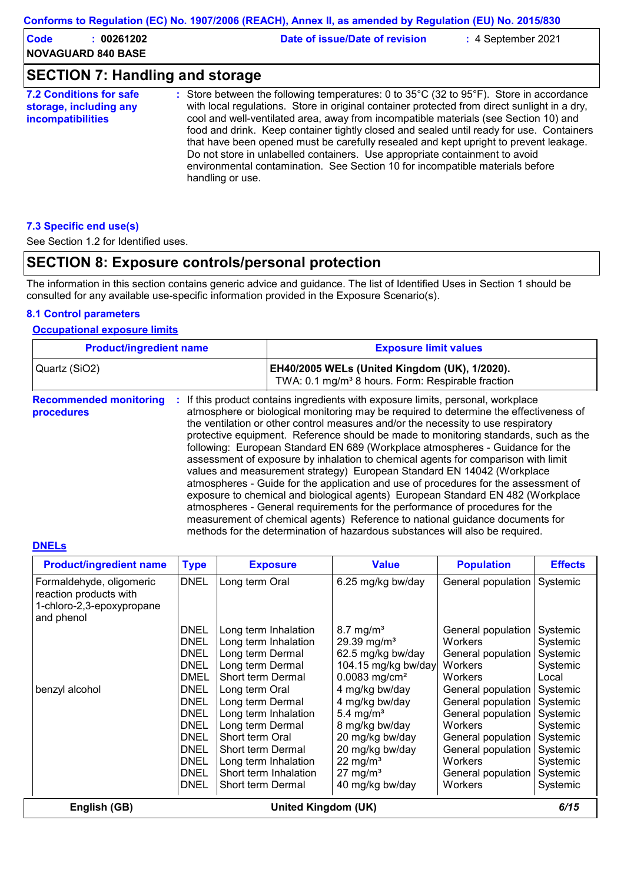| Conforms to Regulation (EC) No. 1907/2006 (REACH), Annex II, as amended by Regulation (EU) No. 2015/830 |                                                                                                                                                                                                                                                                                                                                                                                                                                                                                                                                                                                                                                                          |                    |  |  |  |  |
|---------------------------------------------------------------------------------------------------------|----------------------------------------------------------------------------------------------------------------------------------------------------------------------------------------------------------------------------------------------------------------------------------------------------------------------------------------------------------------------------------------------------------------------------------------------------------------------------------------------------------------------------------------------------------------------------------------------------------------------------------------------------------|--------------------|--|--|--|--|
| <b>Code</b><br>: 00261202<br><b>NOVAGUARD 840 BASE</b>                                                  | Date of issue/Date of revision                                                                                                                                                                                                                                                                                                                                                                                                                                                                                                                                                                                                                           | : 4 September 2021 |  |  |  |  |
| <b>SECTION 7: Handling and storage</b>                                                                  |                                                                                                                                                                                                                                                                                                                                                                                                                                                                                                                                                                                                                                                          |                    |  |  |  |  |
| <b>7.2 Conditions for safe</b><br>storage, including any<br><b>incompatibilities</b>                    | : Store between the following temperatures: 0 to 35°C (32 to 95°F). Store in accordance<br>with local regulations. Store in original container protected from direct sunlight in a dry,<br>cool and well-ventilated area, away from incompatible materials (see Section 10) and<br>food and drink. Keep container tightly closed and sealed until ready for use. Containers<br>that have been opened must be carefully resealed and kept upright to prevent leakage.<br>Do not store in unlabelled containers. Use appropriate containment to avoid<br>environmental contamination. See Section 10 for incompatible materials before<br>handling or use. |                    |  |  |  |  |

#### **7.3 Specific end use(s)**

See Section 1.2 for Identified uses.

# **SECTION 8: Exposure controls/personal protection**

The information in this section contains generic advice and guidance. The list of Identified Uses in Section 1 should be consulted for any available use-specific information provided in the Exposure Scenario(s).

#### **8.1 Control parameters**

#### **Occupational exposure limits**

| <b>Product/ingredient name</b>              |    | <b>Exposure limit values</b>                                                                                                                                                                                                                                                                                                                                                                                                                                                                                                                                                                                                                                                                                                                                                                                                                                                                                                                                                                                                  |
|---------------------------------------------|----|-------------------------------------------------------------------------------------------------------------------------------------------------------------------------------------------------------------------------------------------------------------------------------------------------------------------------------------------------------------------------------------------------------------------------------------------------------------------------------------------------------------------------------------------------------------------------------------------------------------------------------------------------------------------------------------------------------------------------------------------------------------------------------------------------------------------------------------------------------------------------------------------------------------------------------------------------------------------------------------------------------------------------------|
| Quartz (SiO2)                               |    | EH40/2005 WELs (United Kingdom (UK), 1/2020).<br>TWA: 0.1 mg/m <sup>3</sup> 8 hours. Form: Respirable fraction                                                                                                                                                                                                                                                                                                                                                                                                                                                                                                                                                                                                                                                                                                                                                                                                                                                                                                                |
| <b>Recommended monitoring</b><br>procedures | ÷. | If this product contains ingredients with exposure limits, personal, workplace<br>atmosphere or biological monitoring may be required to determine the effectiveness of<br>the ventilation or other control measures and/or the necessity to use respiratory<br>protective equipment. Reference should be made to monitoring standards, such as the<br>following: European Standard EN 689 (Workplace atmospheres - Guidance for the<br>assessment of exposure by inhalation to chemical agents for comparison with limit<br>values and measurement strategy) European Standard EN 14042 (Workplace<br>atmospheres - Guide for the application and use of procedures for the assessment of<br>exposure to chemical and biological agents) European Standard EN 482 (Workplace<br>atmospheres - General requirements for the performance of procedures for the<br>measurement of chemical agents) Reference to national guidance documents for<br>methods for the determination of hazardous substances will also be required. |

#### **DNELs**

| <b>Product/ingredient name</b>                                                                | <b>Type</b> | <b>Exposure</b>       | <b>Value</b>                | <b>Population</b>  | <b>Effects</b> |  |
|-----------------------------------------------------------------------------------------------|-------------|-----------------------|-----------------------------|--------------------|----------------|--|
| Formaldehyde, oligomeric<br>reaction products with<br>1-chloro-2,3-epoxypropane<br>and phenol | <b>DNEL</b> | Long term Oral        | 6.25 mg/kg bw/day           | General population | Systemic       |  |
|                                                                                               | DNEL        | Long term Inhalation  | $8.7 \text{ mg/m}^3$        | General population | Systemic       |  |
|                                                                                               | <b>DNEL</b> | Long term Inhalation  | 29.39 mg/m <sup>3</sup>     | <b>Workers</b>     | Systemic       |  |
|                                                                                               | DNEL        | Long term Dermal      | 62.5 mg/kg bw/day           | General population | Systemic       |  |
|                                                                                               | <b>DNEL</b> | Long term Dermal      | 104.15 mg/kg bw/day         | Workers            | Systemic       |  |
|                                                                                               | DMEL        | Short term Dermal     | $0.0083$ mg/cm <sup>2</sup> | <b>Workers</b>     | Local          |  |
| benzyl alcohol                                                                                | DNEL        | Long term Oral        | 4 mg/kg bw/day              | General population | Systemic       |  |
|                                                                                               | DNEL        | Long term Dermal      | 4 mg/kg bw/day              | General population | Systemic       |  |
|                                                                                               | DNEL        | Long term Inhalation  | 5.4 mg/m <sup>3</sup>       | General population | Systemic       |  |
|                                                                                               | DNEL        | Long term Dermal      | 8 mg/kg bw/day              | Workers            | Systemic       |  |
|                                                                                               | DNEL        | Short term Oral       | 20 mg/kg bw/day             | General population | Systemic       |  |
|                                                                                               | <b>DNEL</b> | Short term Dermal     | 20 mg/kg bw/day             | General population | Systemic       |  |
|                                                                                               | DNEL        | Long term Inhalation  | 22 mg/m $3$                 | <b>Workers</b>     | Systemic       |  |
|                                                                                               | <b>DNEL</b> | Short term Inhalation | $27 \text{ mg/m}^3$         | General population | Systemic       |  |
|                                                                                               | DNEL        | Short term Dermal     | 40 mg/kg bw/day             | Workers            | Systemic       |  |
| 6/15<br>English (GB)<br>United Kingdom (UK)                                                   |             |                       |                             |                    |                |  |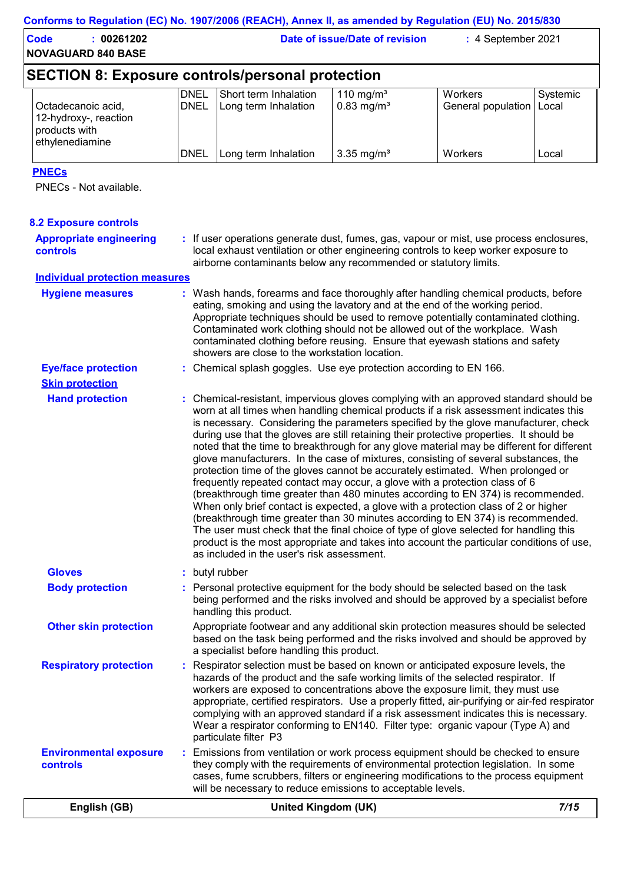| Code<br>00261202          | Date of issue/Date of revision | $: 4$ September 2021 |
|---------------------------|--------------------------------|----------------------|
| <b>NOVAGUARD 840 BASE</b> |                                |                      |

# **SECTION 8: Exposure controls/personal protection**

| Octadecanoic acid,                                                | <b>DNEL</b><br><b>IDNEL</b> | l Short term Inhalation i<br>Long term Inhalation | 110 mg/m <sup>3</sup><br>$0.83 \text{ mg/m}^3$ | <b>Workers</b><br>General population   Local | Systemic |
|-------------------------------------------------------------------|-----------------------------|---------------------------------------------------|------------------------------------------------|----------------------------------------------|----------|
| 12-hydroxy-, reaction<br><b>products</b> with<br>Iethvlenediamine |                             |                                                   |                                                |                                              |          |
|                                                                   | <b>IDNEL</b>                | Long term Inhalation                              | 3.35 mg/m <sup>3</sup>                         | <b>Workers</b>                               | Local    |

### **PNECs**

PNECs - Not available.

| English (GB)                                     | United Kingdom (UK)                                                                                                                                                                                                                                                                                                                                                                                                                                                                                                                                                                                                                                                                                                                                                                                                                                                                                                                                                                                                                                                                                                                                                                                                      | 7/15 |
|--------------------------------------------------|--------------------------------------------------------------------------------------------------------------------------------------------------------------------------------------------------------------------------------------------------------------------------------------------------------------------------------------------------------------------------------------------------------------------------------------------------------------------------------------------------------------------------------------------------------------------------------------------------------------------------------------------------------------------------------------------------------------------------------------------------------------------------------------------------------------------------------------------------------------------------------------------------------------------------------------------------------------------------------------------------------------------------------------------------------------------------------------------------------------------------------------------------------------------------------------------------------------------------|------|
| <b>Environmental exposure</b><br><b>controls</b> | : Emissions from ventilation or work process equipment should be checked to ensure<br>they comply with the requirements of environmental protection legislation. In some<br>cases, fume scrubbers, filters or engineering modifications to the process equipment<br>will be necessary to reduce emissions to acceptable levels.                                                                                                                                                                                                                                                                                                                                                                                                                                                                                                                                                                                                                                                                                                                                                                                                                                                                                          |      |
| <b>Respiratory protection</b>                    | Respirator selection must be based on known or anticipated exposure levels, the<br>hazards of the product and the safe working limits of the selected respirator. If<br>workers are exposed to concentrations above the exposure limit, they must use<br>appropriate, certified respirators. Use a properly fitted, air-purifying or air-fed respirator<br>complying with an approved standard if a risk assessment indicates this is necessary.<br>Wear a respirator conforming to EN140. Filter type: organic vapour (Type A) and<br>particulate filter P3                                                                                                                                                                                                                                                                                                                                                                                                                                                                                                                                                                                                                                                             |      |
| <b>Other skin protection</b>                     | Appropriate footwear and any additional skin protection measures should be selected<br>based on the task being performed and the risks involved and should be approved by<br>a specialist before handling this product.                                                                                                                                                                                                                                                                                                                                                                                                                                                                                                                                                                                                                                                                                                                                                                                                                                                                                                                                                                                                  |      |
| <b>Body protection</b>                           | : Personal protective equipment for the body should be selected based on the task<br>being performed and the risks involved and should be approved by a specialist before<br>handling this product.                                                                                                                                                                                                                                                                                                                                                                                                                                                                                                                                                                                                                                                                                                                                                                                                                                                                                                                                                                                                                      |      |
| <b>Gloves</b>                                    | : butyl rubber                                                                                                                                                                                                                                                                                                                                                                                                                                                                                                                                                                                                                                                                                                                                                                                                                                                                                                                                                                                                                                                                                                                                                                                                           |      |
| <b>Skin protection</b><br><b>Hand protection</b> | : Chemical-resistant, impervious gloves complying with an approved standard should be<br>worn at all times when handling chemical products if a risk assessment indicates this<br>is necessary. Considering the parameters specified by the glove manufacturer, check<br>during use that the gloves are still retaining their protective properties. It should be<br>noted that the time to breakthrough for any glove material may be different for different<br>glove manufacturers. In the case of mixtures, consisting of several substances, the<br>protection time of the gloves cannot be accurately estimated. When prolonged or<br>frequently repeated contact may occur, a glove with a protection class of 6<br>(breakthrough time greater than 480 minutes according to EN 374) is recommended.<br>When only brief contact is expected, a glove with a protection class of 2 or higher<br>(breakthrough time greater than 30 minutes according to EN 374) is recommended.<br>The user must check that the final choice of type of glove selected for handling this<br>product is the most appropriate and takes into account the particular conditions of use,<br>as included in the user's risk assessment. |      |
| <b>Eye/face protection</b>                       | Appropriate techniques should be used to remove potentially contaminated clothing.<br>Contaminated work clothing should not be allowed out of the workplace. Wash<br>contaminated clothing before reusing. Ensure that eyewash stations and safety<br>showers are close to the workstation location.<br>: Chemical splash goggles. Use eye protection according to EN 166.                                                                                                                                                                                                                                                                                                                                                                                                                                                                                                                                                                                                                                                                                                                                                                                                                                               |      |
| <b>Hygiene measures</b>                          | : Wash hands, forearms and face thoroughly after handling chemical products, before<br>eating, smoking and using the lavatory and at the end of the working period.                                                                                                                                                                                                                                                                                                                                                                                                                                                                                                                                                                                                                                                                                                                                                                                                                                                                                                                                                                                                                                                      |      |
| <b>Individual protection measures</b>            |                                                                                                                                                                                                                                                                                                                                                                                                                                                                                                                                                                                                                                                                                                                                                                                                                                                                                                                                                                                                                                                                                                                                                                                                                          |      |
| <b>Appropriate engineering</b><br>controls       | : If user operations generate dust, fumes, gas, vapour or mist, use process enclosures,<br>local exhaust ventilation or other engineering controls to keep worker exposure to<br>airborne contaminants below any recommended or statutory limits.                                                                                                                                                                                                                                                                                                                                                                                                                                                                                                                                                                                                                                                                                                                                                                                                                                                                                                                                                                        |      |
|                                                  |                                                                                                                                                                                                                                                                                                                                                                                                                                                                                                                                                                                                                                                                                                                                                                                                                                                                                                                                                                                                                                                                                                                                                                                                                          |      |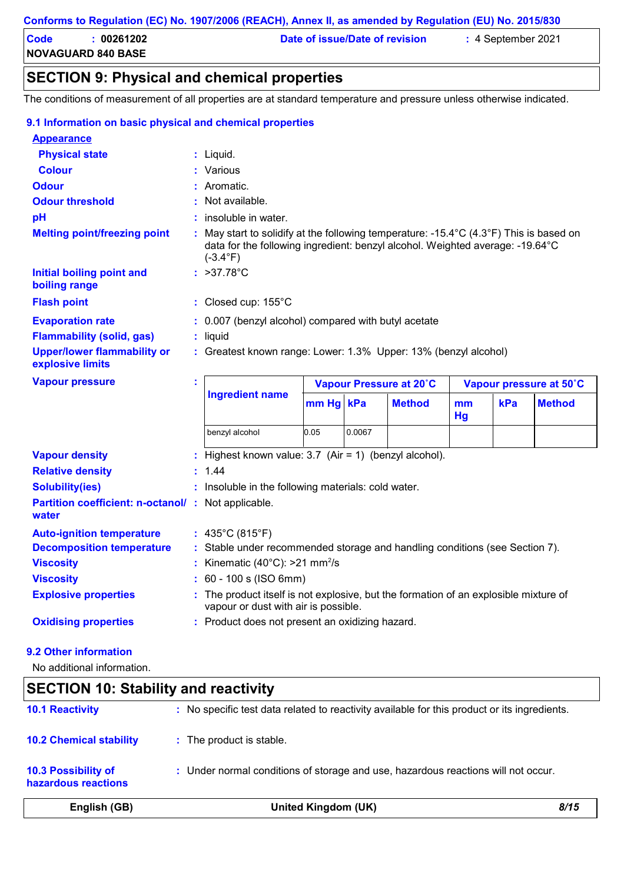| Code                      | 00261202 | Date of issue/Date of revision | $: 4$ September 2021 |
|---------------------------|----------|--------------------------------|----------------------|
| <b>NOVAGUARD 840 BASE</b> |          |                                |                      |

# **SECTION 9: Physical and chemical properties**

The conditions of measurement of all properties are at standard temperature and pressure unless otherwise indicated.

| 9.1 Information on basic physical and chemical properties                                                                                                                                       |   |                                                                                                                                                                                              |           |        |                         |          |     |                         |
|-------------------------------------------------------------------------------------------------------------------------------------------------------------------------------------------------|---|----------------------------------------------------------------------------------------------------------------------------------------------------------------------------------------------|-----------|--------|-------------------------|----------|-----|-------------------------|
| <b>Appearance</b>                                                                                                                                                                               |   |                                                                                                                                                                                              |           |        |                         |          |     |                         |
| <b>Physical state</b>                                                                                                                                                                           |   | $:$ Liquid.                                                                                                                                                                                  |           |        |                         |          |     |                         |
| <b>Colour</b>                                                                                                                                                                                   |   | : Various                                                                                                                                                                                    |           |        |                         |          |     |                         |
| <b>Odour</b>                                                                                                                                                                                    |   | Aromatic.                                                                                                                                                                                    |           |        |                         |          |     |                         |
| <b>Odour threshold</b>                                                                                                                                                                          |   | : Not available.                                                                                                                                                                             |           |        |                         |          |     |                         |
| pH                                                                                                                                                                                              |   | insoluble in water.                                                                                                                                                                          |           |        |                         |          |     |                         |
| <b>Melting point/freezing point</b>                                                                                                                                                             |   | : May start to solidify at the following temperature: -15.4°C (4.3°F) This is based on<br>data for the following ingredient: benzyl alcohol. Weighted average: -19.64°C<br>$(-3.4^{\circ}F)$ |           |        |                         |          |     |                         |
| <b>Initial boiling point and</b><br>boiling range                                                                                                                                               |   | : $>37.78^{\circ}C$                                                                                                                                                                          |           |        |                         |          |     |                         |
| <b>Flash point</b>                                                                                                                                                                              |   | : Closed cup: 155°C                                                                                                                                                                          |           |        |                         |          |     |                         |
| <b>Evaporation rate</b>                                                                                                                                                                         |   | : 0.007 (benzyl alcohol) compared with butyl acetate                                                                                                                                         |           |        |                         |          |     |                         |
| <b>Flammability (solid, gas)</b>                                                                                                                                                                |   | : liquid                                                                                                                                                                                     |           |        |                         |          |     |                         |
| <b>Upper/lower flammability or</b><br>explosive limits                                                                                                                                          |   | : Greatest known range: Lower: 1.3% Upper: 13% (benzyl alcohol)                                                                                                                              |           |        |                         |          |     |                         |
|                                                                                                                                                                                                 |   |                                                                                                                                                                                              |           |        |                         |          |     |                         |
|                                                                                                                                                                                                 | t |                                                                                                                                                                                              |           |        | Vapour Pressure at 20°C |          |     | Vapour pressure at 50°C |
| <b>Vapour pressure</b>                                                                                                                                                                          |   | <b>Ingredient name</b>                                                                                                                                                                       | mm Hg kPa |        | <b>Method</b>           | mm<br>Hg | kPa | <b>Method</b>           |
|                                                                                                                                                                                                 |   | benzyl alcohol                                                                                                                                                                               | 0.05      | 0.0067 |                         |          |     |                         |
|                                                                                                                                                                                                 |   | : Highest known value: 3.7 (Air = 1) (benzyl alcohol).                                                                                                                                       |           |        |                         |          |     |                         |
|                                                                                                                                                                                                 |   | 1.44                                                                                                                                                                                         |           |        |                         |          |     |                         |
| <b>Solubility(ies)</b>                                                                                                                                                                          |   | : Insoluble in the following materials: cold water.                                                                                                                                          |           |        |                         |          |     |                         |
|                                                                                                                                                                                                 |   |                                                                                                                                                                                              |           |        |                         |          |     |                         |
|                                                                                                                                                                                                 |   | : $435^{\circ}$ C (815 $^{\circ}$ F)                                                                                                                                                         |           |        |                         |          |     |                         |
|                                                                                                                                                                                                 |   | : Stable under recommended storage and handling conditions (see Section 7).                                                                                                                  |           |        |                         |          |     |                         |
|                                                                                                                                                                                                 |   | Kinematic $(40^{\circ}$ C): >21 mm <sup>2</sup> /s                                                                                                                                           |           |        |                         |          |     |                         |
| <b>Partition coefficient: n-octanol/: Not applicable.</b><br>water                                                                                                                              |   | : 60 - 100 s (ISO 6mm)                                                                                                                                                                       |           |        |                         |          |     |                         |
| <b>Vapour density</b><br><b>Relative density</b><br><b>Auto-ignition temperature</b><br><b>Decomposition temperature</b><br><b>Viscosity</b><br><b>Viscosity</b><br><b>Explosive properties</b> |   | : The product itself is not explosive, but the formation of an explosible mixture of<br>vapour or dust with air is possible.                                                                 |           |        |                         |          |     |                         |

#### **9.2 Other information**

No additional information.

# **SECTION 10: Stability and reactivity**

| English (GB)                                      | United Kingdom (UK)                                                                          | 8/15 |
|---------------------------------------------------|----------------------------------------------------------------------------------------------|------|
| <b>10.3 Possibility of</b><br>hazardous reactions | : Under normal conditions of storage and use, hazardous reactions will not occur.            |      |
| <b>10.2 Chemical stability</b>                    | : The product is stable.                                                                     |      |
| <b>10.1 Reactivity</b>                            | : No specific test data related to reactivity available for this product or its ingredients. |      |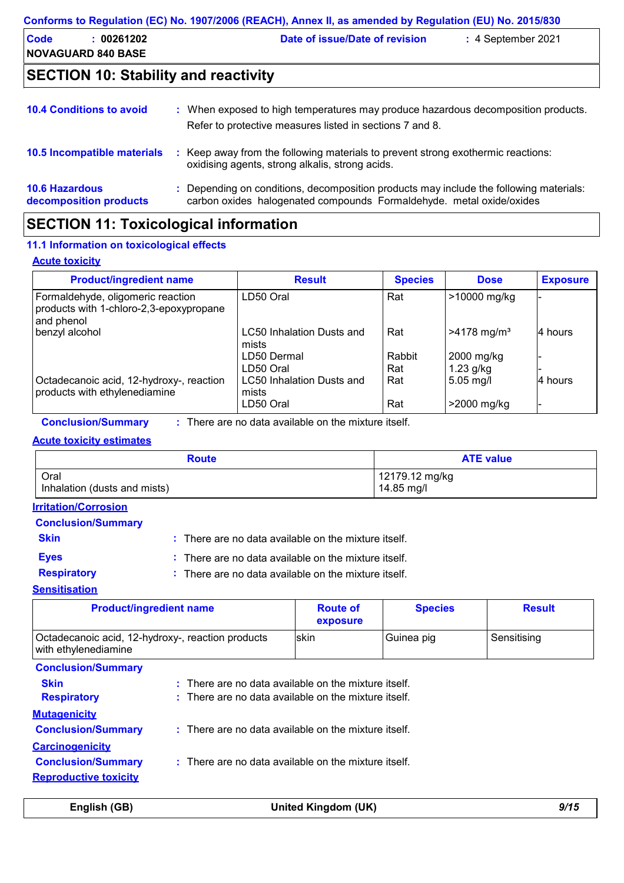| Conforms to Regulation (EC) No. 1907/2006 (REACH), Annex II, as amended by Regulation (EU) No. 2015/830 |                                         |                                |                      |  |  |
|---------------------------------------------------------------------------------------------------------|-----------------------------------------|--------------------------------|----------------------|--|--|
| Code                                                                                                    | : 00261202<br><b>NOVAGUARD 840 BASE</b> | Date of issue/Date of revision | $: 4$ September 2021 |  |  |
|                                                                                                         |                                         |                                |                      |  |  |

# **SECTION 10: Stability and reactivity**

| <b>10.4 Conditions to avoid</b>                 | When exposed to high temperatures may produce hazardous decomposition products.<br>Refer to protective measures listed in sections 7 and 8.                    |
|-------------------------------------------------|----------------------------------------------------------------------------------------------------------------------------------------------------------------|
| 10.5 Incompatible materials                     | Keep away from the following materials to prevent strong exothermic reactions:<br>oxidising agents, strong alkalis, strong acids.                              |
| <b>10.6 Hazardous</b><br>decomposition products | : Depending on conditions, decomposition products may include the following materials:<br>carbon oxides halogenated compounds Formaldehyde. metal oxide/oxides |

# **SECTION 11: Toxicological information**

#### **11.1 Information on toxicological effects**

#### **Acute toxicity**

| <b>Product/ingredient name</b>                                                             | <b>Result</b>                             | <b>Species</b> | <b>Dose</b>               | <b>Exposure</b> |
|--------------------------------------------------------------------------------------------|-------------------------------------------|----------------|---------------------------|-----------------|
| Formaldehyde, oligomeric reaction<br>products with 1-chloro-2,3-epoxypropane<br>and phenol | LD50 Oral                                 | Rat            | >10000 mg/kg              |                 |
| benzyl alcohol                                                                             | LC50 Inhalation Dusts and<br>mists        | Rat            | $>4178$ mg/m <sup>3</sup> | 4 hours         |
|                                                                                            | LD50 Dermal<br>LD50 Oral                  | Rabbit<br>Rat  | 2000 mg/kg<br>$1.23$ g/kg |                 |
| Octadecanoic acid, 12-hydroxy-, reaction<br>products with ethylenediamine                  | <b>LC50 Inhalation Dusts and</b><br>mists | Rat            | $5.05$ mg/l               | l4 hours        |
|                                                                                            | LD50 Oral                                 | Rat            | >2000 mg/kg               | -               |

**Conclusion/Summary :** : There are no data available on the mixture itself.

#### **Acute toxicity estimates**

| <b>Route</b>                 | <b>ATE value</b> |
|------------------------------|------------------|
| Oral                         | 12179.12 mg/kg   |
| Inhalation (dusts and mists) | 14.85 mg/l       |

### **Irritation/Corrosion**

#### **Conclusion/Summary**

**Skin Example 20 :** There are no data available on the mixture itself.

- 
- **Eyes :** There are no data available on the mixture itself.
- **Respiratory :**
- There are no data available on the mixture itself.

# **Sensitisation**

| <b>Product/ingredient name</b>                                            |                                                                                                                           | <b>Route of</b><br>exposure | <b>Species</b> | <b>Result</b> |
|---------------------------------------------------------------------------|---------------------------------------------------------------------------------------------------------------------------|-----------------------------|----------------|---------------|
| Octadecanoic acid, 12-hydroxy-, reaction products<br>with ethylenediamine |                                                                                                                           | skin                        | Guinea pig     | Sensitising   |
| <b>Conclusion/Summary</b>                                                 |                                                                                                                           |                             |                |               |
| <b>Skin</b><br><b>Respiratory</b><br><b>Mutagenicity</b>                  | $:$ There are no data available on the mixture itself.<br>$\therefore$ There are no data available on the mixture itself. |                             |                |               |
| <b>Conclusion/Summary</b><br><b>Carcinogenicity</b>                       | $:$ There are no data available on the mixture itself.                                                                    |                             |                |               |
| <b>Conclusion/Summary</b><br><b>Reproductive toxicity</b>                 | $:$ There are no data available on the mixture itself.                                                                    |                             |                |               |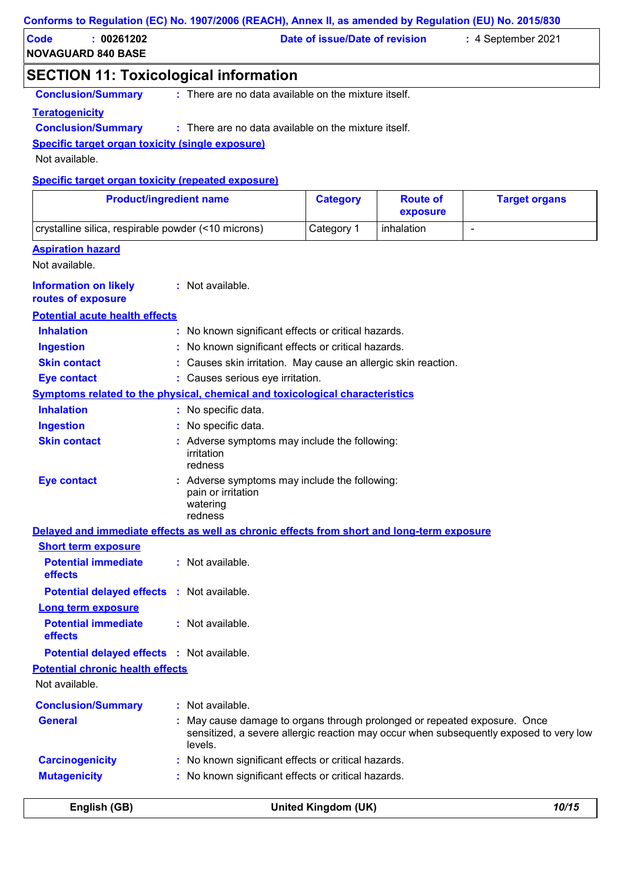#### **Conforms to Regulation (EC) No. 1907/2006 (REACH), Annex II, as amended by Regulation (EU) No. 2015/830**

| Code                      | 00261202 | Date of issue/Date of revision | :4 September 2021 |
|---------------------------|----------|--------------------------------|-------------------|
| <b>NOVAGUARD 840 BASE</b> |          |                                |                   |

# **SECTION 11: Toxicological information**

**Conclusion/Summary :** : There are no data available on the mixture itself.

#### **Teratogenicity**

#### **Conclusion/Summary :** : There are no data available on the mixture itself.

**Specific target organ toxicity (single exposure)**

Not available.

#### **Specific target organ toxicity (repeated exposure)**

| <b>Product/ingredient name</b>                                                             |                                                                                            | <b>Category</b> | <b>Route of</b><br>exposure | <b>Target organs</b>                                                                   |
|--------------------------------------------------------------------------------------------|--------------------------------------------------------------------------------------------|-----------------|-----------------------------|----------------------------------------------------------------------------------------|
| crystalline silica, respirable powder (<10 microns)                                        |                                                                                            | Category 1      | inhalation                  | $\overline{\phantom{a}}$                                                               |
| <b>Aspiration hazard</b>                                                                   |                                                                                            |                 |                             |                                                                                        |
| Not available.                                                                             |                                                                                            |                 |                             |                                                                                        |
| <b>Information on likely</b><br>routes of exposure                                         | : Not available.                                                                           |                 |                             |                                                                                        |
| <b>Potential acute health effects</b>                                                      |                                                                                            |                 |                             |                                                                                        |
| <b>Inhalation</b>                                                                          | : No known significant effects or critical hazards.                                        |                 |                             |                                                                                        |
| <b>Ingestion</b>                                                                           | No known significant effects or critical hazards.                                          |                 |                             |                                                                                        |
| <b>Skin contact</b>                                                                        | : Causes skin irritation. May cause an allergic skin reaction.                             |                 |                             |                                                                                        |
| <b>Eye contact</b>                                                                         | : Causes serious eye irritation.                                                           |                 |                             |                                                                                        |
| <b>Symptoms related to the physical, chemical and toxicological characteristics</b>        |                                                                                            |                 |                             |                                                                                        |
| <b>Inhalation</b>                                                                          | : No specific data.                                                                        |                 |                             |                                                                                        |
| <b>Ingestion</b>                                                                           | No specific data.                                                                          |                 |                             |                                                                                        |
| <b>Skin contact</b>                                                                        | Adverse symptoms may include the following:<br>irritation<br>redness                       |                 |                             |                                                                                        |
| <b>Eye contact</b>                                                                         | : Adverse symptoms may include the following:<br>pain or irritation<br>watering<br>redness |                 |                             |                                                                                        |
| Delayed and immediate effects as well as chronic effects from short and long-term exposure |                                                                                            |                 |                             |                                                                                        |
| <b>Short term exposure</b>                                                                 |                                                                                            |                 |                             |                                                                                        |
| <b>Potential immediate</b><br>effects                                                      | : Not available.                                                                           |                 |                             |                                                                                        |
| <b>Potential delayed effects : Not available.</b>                                          |                                                                                            |                 |                             |                                                                                        |
| Long term exposure                                                                         |                                                                                            |                 |                             |                                                                                        |
| <b>Potential immediate</b><br>effects                                                      | : Not available.                                                                           |                 |                             |                                                                                        |
| <b>Potential delayed effects : Not available.</b>                                          |                                                                                            |                 |                             |                                                                                        |
| <b>Potential chronic health effects</b>                                                    |                                                                                            |                 |                             |                                                                                        |
| Not available.                                                                             |                                                                                            |                 |                             |                                                                                        |
| <b>Conclusion/Summary</b>                                                                  | : Not available.                                                                           |                 |                             |                                                                                        |
| <b>General</b>                                                                             | May cause damage to organs through prolonged or repeated exposure. Once<br>levels.         |                 |                             | sensitized, a severe allergic reaction may occur when subsequently exposed to very low |
| <b>Carcinogenicity</b>                                                                     | : No known significant effects or critical hazards.                                        |                 |                             |                                                                                        |
| <b>Mutagenicity</b>                                                                        | : No known significant effects or critical hazards.                                        |                 |                             |                                                                                        |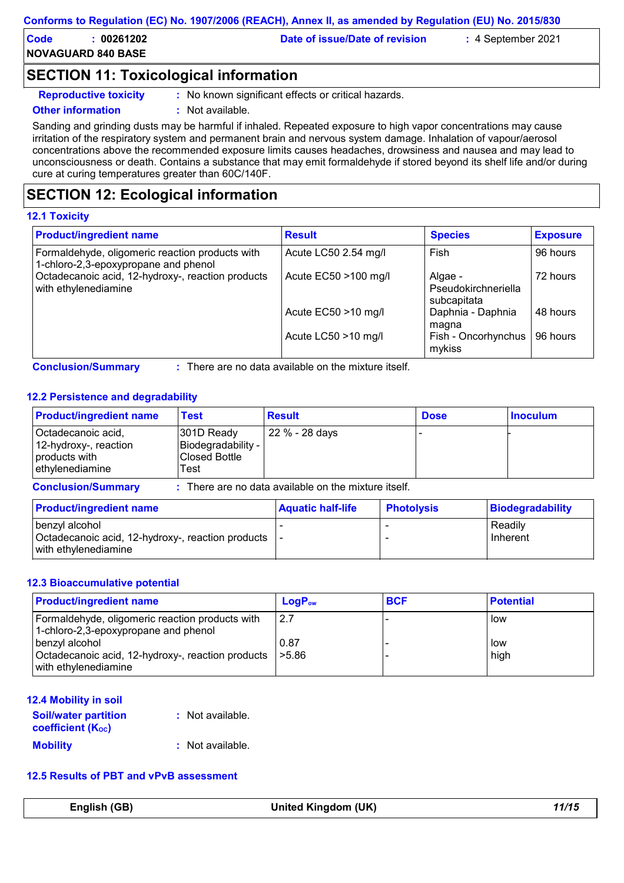| Conforms to Regulation (EC) No. 1907/2006 (REACH), Annex II, as amended by Regulation (EU) No. 2015/830 |  |  |  |
|---------------------------------------------------------------------------------------------------------|--|--|--|
|---------------------------------------------------------------------------------------------------------|--|--|--|

| Code | 00261202                  | Date of issue/Date of revision | :4 September 2021 |  |
|------|---------------------------|--------------------------------|-------------------|--|
|      | <b>NOVAGUARD 840 BASE</b> |                                |                   |  |

# **SECTION 11: Toxicological information**

**Reproductive toxicity :** No known significant effects or critical hazards.

#### **Other information :** Not available.

Sanding and grinding dusts may be harmful if inhaled. Repeated exposure to high vapor concentrations may cause irritation of the respiratory system and permanent brain and nervous system damage. Inhalation of vapour/aerosol concentrations above the recommended exposure limits causes headaches, drowsiness and nausea and may lead to unconsciousness or death. Contains a substance that may emit formaldehyde if stored beyond its shelf life and/or during cure at curing temperatures greater than 60C/140F.

# **SECTION 12: Ecological information**

#### **12.1 Toxicity**

| <b>Product/ingredient name</b>                                                          | <b>Result</b>        | <b>Species</b>                                | <b>Exposure</b> |
|-----------------------------------------------------------------------------------------|----------------------|-----------------------------------------------|-----------------|
| Formaldehyde, oligomeric reaction products with<br>1-chloro-2,3-epoxypropane and phenol | Acute LC50 2.54 mg/l | <b>Fish</b>                                   | 96 hours        |
| Octadecanoic acid, 12-hydroxy-, reaction products<br>with ethylenediamine               | Acute EC50 >100 mg/l | Algae -<br>Pseudokirchneriella<br>subcapitata | 72 hours        |
|                                                                                         | Acute EC50 >10 mg/l  | Daphnia - Daphnia<br>magna                    | 48 hours        |
|                                                                                         | Acute LC50 >10 mg/l  | Fish - Oncorhynchus<br>mykiss                 | 96 hours        |

There are no data available on the mixture itself.

#### **12.2 Persistence and degradability**

| <b>Product/ingredient name</b>                                                  | Test                                                             | <b>Result</b>  | <b>Dose</b> | <b>Inoculum</b> |
|---------------------------------------------------------------------------------|------------------------------------------------------------------|----------------|-------------|-----------------|
| Octadecanoic acid,<br>12-hydroxy-, reaction<br>products with<br>ethylenediamine | 301D Ready<br>Biodegradability -<br><b>Closed Bottle</b><br>Test | 22 % - 28 days |             |                 |

**Conclusion/Summary :** : There are no data available on the mixture itself.

| <b>Product/ingredient name</b>                                                                 | <b>Aquatic half-life</b> | <b>Photolysis</b> | Biodegradability    |
|------------------------------------------------------------------------------------------------|--------------------------|-------------------|---------------------|
| benzyl alcohol<br>Octadecanoic acid, 12-hydroxy-, reaction products  -<br>with ethylenediamine |                          |                   | Readily<br>Inherent |

#### **12.3 Bioaccumulative potential**

| <b>Product/ingredient name</b>                                                              | $LogP_{ow}$      | <b>BCF</b> | <b>Potential</b> |
|---------------------------------------------------------------------------------------------|------------------|------------|------------------|
| Formaldehyde, oligomeric reaction products with<br>1-chloro-2,3-epoxypropane and phenol     | 2.7              |            | low              |
| benzyl alcohol<br>Octadecanoic acid, 12-hydroxy-, reaction products<br>with ethylenediamine | 0.87<br>  > 5.86 |            | low<br>high      |

#### **12.4 Mobility in soil**

| <b>Soil/water partition</b><br><b>coefficient (Koc)</b> | : Not available. |
|---------------------------------------------------------|------------------|
| <b>Mobility</b>                                         | : Not available. |

### **12.5 Results of PBT and vPvB assessment**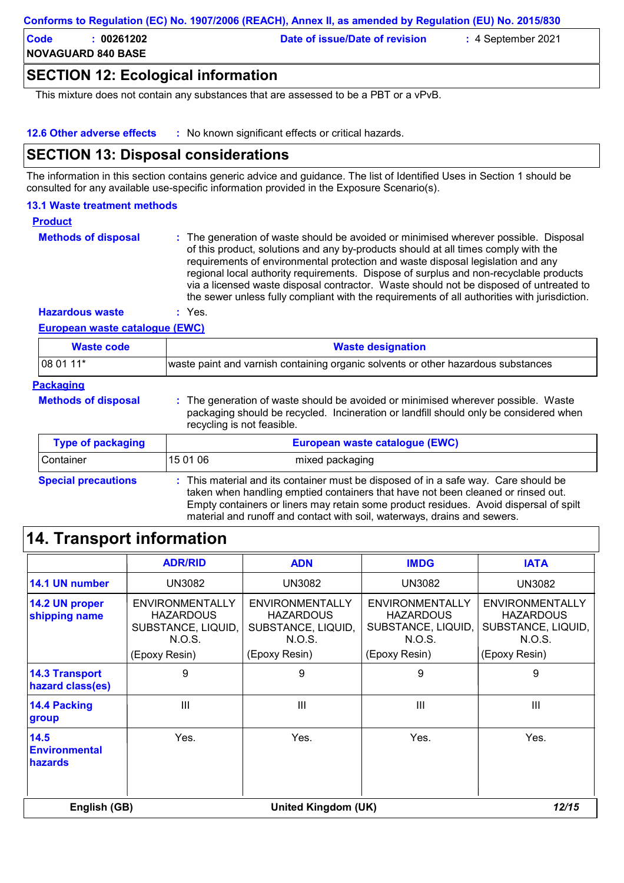| Conforms to Regulation (EC) No. 1907/2006 (REACH), Annex II, as amended by Regulation (EU) No. 2015/830 |  |  |  |
|---------------------------------------------------------------------------------------------------------|--|--|--|
|---------------------------------------------------------------------------------------------------------|--|--|--|

| Code | 00261202                  | Date of issue/Date of revision | $\,$ : 4 September 2021 $\,$ |  |
|------|---------------------------|--------------------------------|------------------------------|--|
|      | <b>NOVAGUARD 840 BASE</b> |                                |                              |  |

# **SECTION 12: Ecological information**

This mixture does not contain any substances that are assessed to be a PBT or a vPvB.

**12.6 Other adverse effects :** No known significant effects or critical hazards.

# **SECTION 13: Disposal considerations**

The information in this section contains generic advice and guidance. The list of Identified Uses in Section 1 should be consulted for any available use-specific information provided in the Exposure Scenario(s).

#### **13.1 Waste treatment methods**

#### **Product**

The generation of waste should be avoided or minimised wherever possible. Disposal of this product, solutions and any by-products should at all times comply with the requirements of environmental protection and waste disposal legislation and any regional local authority requirements. Dispose of surplus and non-recyclable products via a licensed waste disposal contractor. Waste should not be disposed of untreated to the sewer unless fully compliant with the requirements of all authorities with jurisdiction. **Methods of disposal :**

**Hazardous waste :** Yes.

#### **European waste catalogue (EWC)**

| <b>Waste code</b>          | <b>Waste designation</b>                                                                                                                                                                                                                                                                                                                     |
|----------------------------|----------------------------------------------------------------------------------------------------------------------------------------------------------------------------------------------------------------------------------------------------------------------------------------------------------------------------------------------|
| 08 01 11*                  | waste paint and varnish containing organic solvents or other hazardous substances                                                                                                                                                                                                                                                            |
| <b>Packaging</b>           |                                                                                                                                                                                                                                                                                                                                              |
| <b>Methods of disposal</b> | : The generation of waste should be avoided or minimised wherever possible. Waste<br>packaging should be recycled. Incineration or landfill should only be considered when<br>recycling is not feasible.                                                                                                                                     |
| <b>Type of packaging</b>   | European waste catalogue (EWC)                                                                                                                                                                                                                                                                                                               |
| Container                  | 15 01 06<br>mixed packaging                                                                                                                                                                                                                                                                                                                  |
| <b>Special precautions</b> | : This material and its container must be disposed of in a safe way. Care should be<br>taken when handling emptied containers that have not been cleaned or rinsed out.<br>Empty containers or liners may retain some product residues. Avoid dispersal of spilt<br>material and runoff and contact with soil, waterways, drains and sewers. |

# **14. Transport information**

|                                                | <b>ADR/RID</b>                                                                       | <b>ADN</b>                                                                           | <b>IMDG</b>                                                                                 | <b>IATA</b>                                                                                 |
|------------------------------------------------|--------------------------------------------------------------------------------------|--------------------------------------------------------------------------------------|---------------------------------------------------------------------------------------------|---------------------------------------------------------------------------------------------|
| 14.1 UN number                                 | UN3082                                                                               | UN3082                                                                               | UN3082                                                                                      | <b>UN3082</b>                                                                               |
| 14.2 UN proper<br>shipping name                | ENVIRONMENTALLY<br><b>HAZARDOUS</b><br>SUBSTANCE, LIQUID,<br>N.O.S.<br>(Epoxy Resin) | ENVIRONMENTALLY<br><b>HAZARDOUS</b><br>SUBSTANCE, LIQUID,<br>N.O.S.<br>(Epoxy Resin) | <b>ENVIRONMENTALLY</b><br><b>HAZARDOUS</b><br>SUBSTANCE, LIQUID,<br>N.O.S.<br>(Epoxy Resin) | <b>ENVIRONMENTALLY</b><br><b>HAZARDOUS</b><br>SUBSTANCE, LIQUID,<br>N.O.S.<br>(Epoxy Resin) |
| <b>14.3 Transport</b><br>hazard class(es)      | 9                                                                                    | 9                                                                                    | 9                                                                                           | 9                                                                                           |
| <b>14.4 Packing</b><br>group                   | III                                                                                  | III                                                                                  | III                                                                                         | III                                                                                         |
| 14.5<br><b>Environmental</b><br><b>hazards</b> | Yes.                                                                                 | Yes.                                                                                 | Yes.                                                                                        | Yes.                                                                                        |
| English (GB)                                   |                                                                                      | United Kingdom (UK)                                                                  |                                                                                             | 12/15                                                                                       |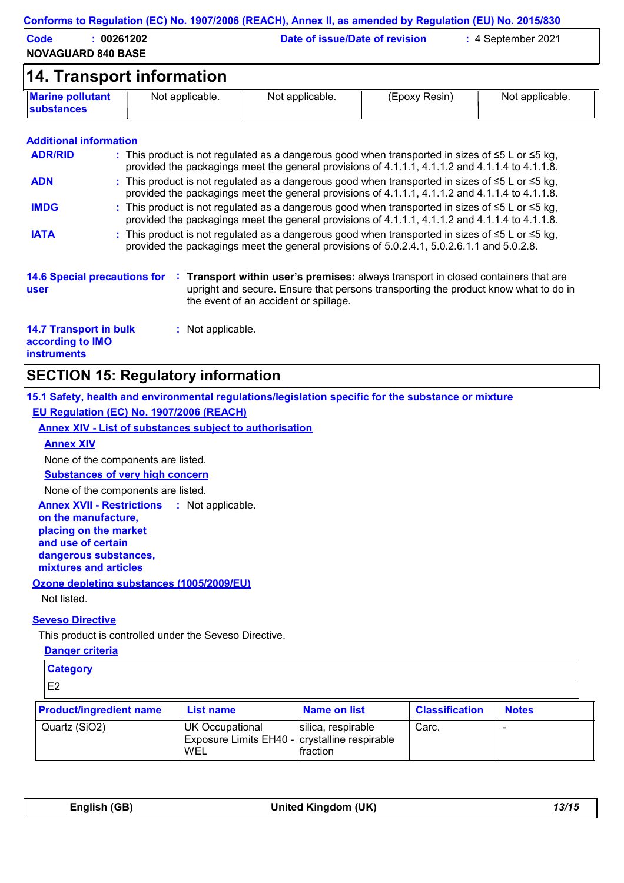| <b>Code</b><br><b>NOVAGUARD 840 BASE</b>                                | : 00261202 |                           | Date of issue/Date of revision        |                                                                                                                                                                                                                | : 4 September 2021 |
|-------------------------------------------------------------------------|------------|---------------------------|---------------------------------------|----------------------------------------------------------------------------------------------------------------------------------------------------------------------------------------------------------------|--------------------|
|                                                                         |            | 14. Transport information |                                       |                                                                                                                                                                                                                |                    |
| <b>Marine pollutant</b><br><b>substances</b>                            |            | Not applicable.           | Not applicable.                       | (Epoxy Resin)                                                                                                                                                                                                  | Not applicable.    |
| <b>Additional information</b>                                           |            |                           |                                       |                                                                                                                                                                                                                |                    |
| <b>ADR/RID</b>                                                          |            |                           |                                       | : This product is not regulated as a dangerous good when transported in sizes of $\leq 5$ L or $\leq 5$ kg,<br>provided the packagings meet the general provisions of 4.1.1.1, 4.1.1.2 and 4.1.1.4 to 4.1.1.8. |                    |
| <b>ADN</b>                                                              |            |                           |                                       | : This product is not regulated as a dangerous good when transported in sizes of ≤5 L or ≤5 kg,<br>provided the packagings meet the general provisions of 4.1.1.1, 4.1.1.2 and 4.1.1.4 to 4.1.1.8.             |                    |
| <b>IMDG</b>                                                             |            |                           |                                       | : This product is not regulated as a dangerous good when transported in sizes of $\leq 5$ L or $\leq 5$ kg,<br>provided the packagings meet the general provisions of 4.1.1.1, 4.1.1.2 and 4.1.1.4 to 4.1.1.8. |                    |
| <b>IATA</b>                                                             |            |                           |                                       | : This product is not regulated as a dangerous good when transported in sizes of $\leq 5$ L or $\leq 5$ kg,<br>provided the packagings meet the general provisions of 5.0.2.4.1, 5.0.2.6.1.1 and 5.0.2.8.      |                    |
| <b>14.6 Special precautions for</b><br>user                             |            |                           | the event of an accident or spillage. | Transport within user's premises: always transport in closed containers that are<br>upright and secure. Ensure that persons transporting the product know what to do in                                        |                    |
| <b>14.7 Transport in bulk</b><br>according to IMO<br><b>instruments</b> |            | : Not applicable.         |                                       |                                                                                                                                                                                                                |                    |

# **SECTION 15: Regulatory information**

**15.1 Safety, health and environmental regulations/legislation specific for the substance or mixture EU Regulation (EC) No. 1907/2006 (REACH)**

**Annex XIV - List of substances subject to authorisation**

**Annex XIV** None of the components are listed.

**Substances of very high concern**

None of the components are listed.

**Annex XVII - Restrictions : Not applicable. on the manufacture, placing on the market and use of certain dangerous substances, mixtures and articles Ozone depleting substances (1005/2009/EU)**

Not listed.

#### **Seveso Directive**

This product is controlled under the Seveso Directive.

**WEL** 

**Danger criteria**

| <b>Category</b>                |                                                                         |                     |                       |              |  |
|--------------------------------|-------------------------------------------------------------------------|---------------------|-----------------------|--------------|--|
| E2                             |                                                                         |                     |                       |              |  |
| <b>Product/ingredient name</b> | <b>List name</b>                                                        | <b>Name on list</b> | <b>Classification</b> | <b>Notes</b> |  |
| Quartz (SiO2)                  | <b>UK Occupational</b><br>Exposure Limits EH40 - crystalline respirable | silica, respirable  | Carc.                 |              |  |

fraction

| English (GB) | United Kingdom (UK) | 13/1! |
|--------------|---------------------|-------|
|              |                     |       |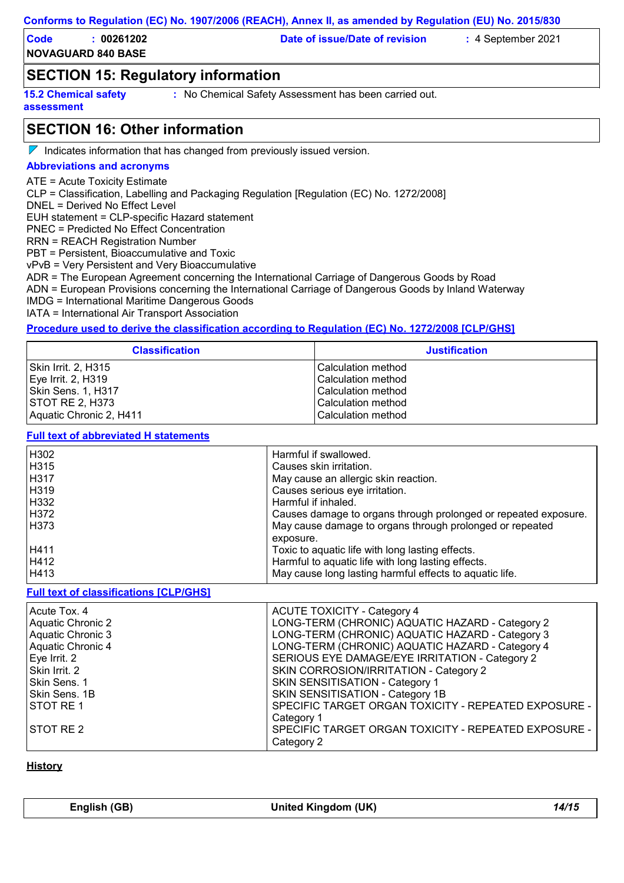**NOVAGUARD 840 BASE Code : 00261202 Date of issue/Date of revision :** 4 September 2021

# **SECTION 15: Regulatory information**

**15.2 Chemical safety assessment**

**:** No Chemical Safety Assessment has been carried out.

# **SECTION 16: Other information**

 $\nabla$  Indicates information that has changed from previously issued version.

#### **Abbreviations and acronyms**

ATE = Acute Toxicity Estimate

CLP = Classification, Labelling and Packaging Regulation [Regulation (EC) No. 1272/2008]

DNEL = Derived No Effect Level

EUH statement = CLP-specific Hazard statement

PNEC = Predicted No Effect Concentration

RRN = REACH Registration Number

PBT = Persistent, Bioaccumulative and Toxic

vPvB = Very Persistent and Very Bioaccumulative

ADR = The European Agreement concerning the International Carriage of Dangerous Goods by Road

ADN = European Provisions concerning the International Carriage of Dangerous Goods by Inland Waterway

IMDG = International Maritime Dangerous Goods

IATA = International Air Transport Association

#### **Procedure used to derive the classification according to Regulation (EC) No. 1272/2008 [CLP/GHS]**

| <b>Classification</b>   | <b>Justification</b> |
|-------------------------|----------------------|
| Skin Irrit. 2, H315     | l Calculation method |
| $Eve$ Irrit. 2, H319    | l Calculation method |
| Skin Sens. 1, H317      | l Calculation method |
| <b>ISTOT RE 2. H373</b> | l Calculation method |
| Aquatic Chronic 2, H411 | l Calculation method |

#### **Full text of abbreviated H statements**

| H302        | Harmful if swallowed.                                           |
|-------------|-----------------------------------------------------------------|
| H315        | Causes skin irritation.                                         |
| H317        | May cause an allergic skin reaction.                            |
| H319        | Causes serious eye irritation.                                  |
| H332        | Harmful if inhaled.                                             |
| H372        | Causes damage to organs through prolonged or repeated exposure. |
| <b>H373</b> | May cause damage to organs through prolonged or repeated        |
|             | exposure.                                                       |
| H411        | Toxic to aquatic life with long lasting effects.                |
| H412        | Harmful to aquatic life with long lasting effects.              |
| H413        | May cause long lasting harmful effects to aquatic life.         |

#### **Full text of classifications [CLP/GHS]**

| Acute Tox. 4      | <b>ACUTE TOXICITY - Category 4</b>                   |
|-------------------|------------------------------------------------------|
| Aquatic Chronic 2 | LONG-TERM (CHRONIC) AQUATIC HAZARD - Category 2      |
| Aquatic Chronic 3 | LONG-TERM (CHRONIC) AQUATIC HAZARD - Category 3      |
| Aquatic Chronic 4 | LONG-TERM (CHRONIC) AQUATIC HAZARD - Category 4      |
| Eye Irrit. 2      | SERIOUS EYE DAMAGE/EYE IRRITATION - Category 2       |
| Skin Irrit. 2     | SKIN CORROSION/IRRITATION - Category 2               |
| Skin Sens. 1      | <b>SKIN SENSITISATION - Category 1</b>               |
| Skin Sens. 1B     | SKIN SENSITISATION - Category 1B                     |
| <b>STOT RE1</b>   | SPECIFIC TARGET ORGAN TOXICITY - REPEATED EXPOSURE - |
|                   | Category 1                                           |
| <b>STOT RE 2</b>  | SPECIFIC TARGET ORGAN TOXICITY - REPEATED EXPOSURE - |
|                   | Category 2                                           |

#### **History**

| English (GB) | United Kingdom (UK) | 14/15 |
|--------------|---------------------|-------|
|              |                     |       |